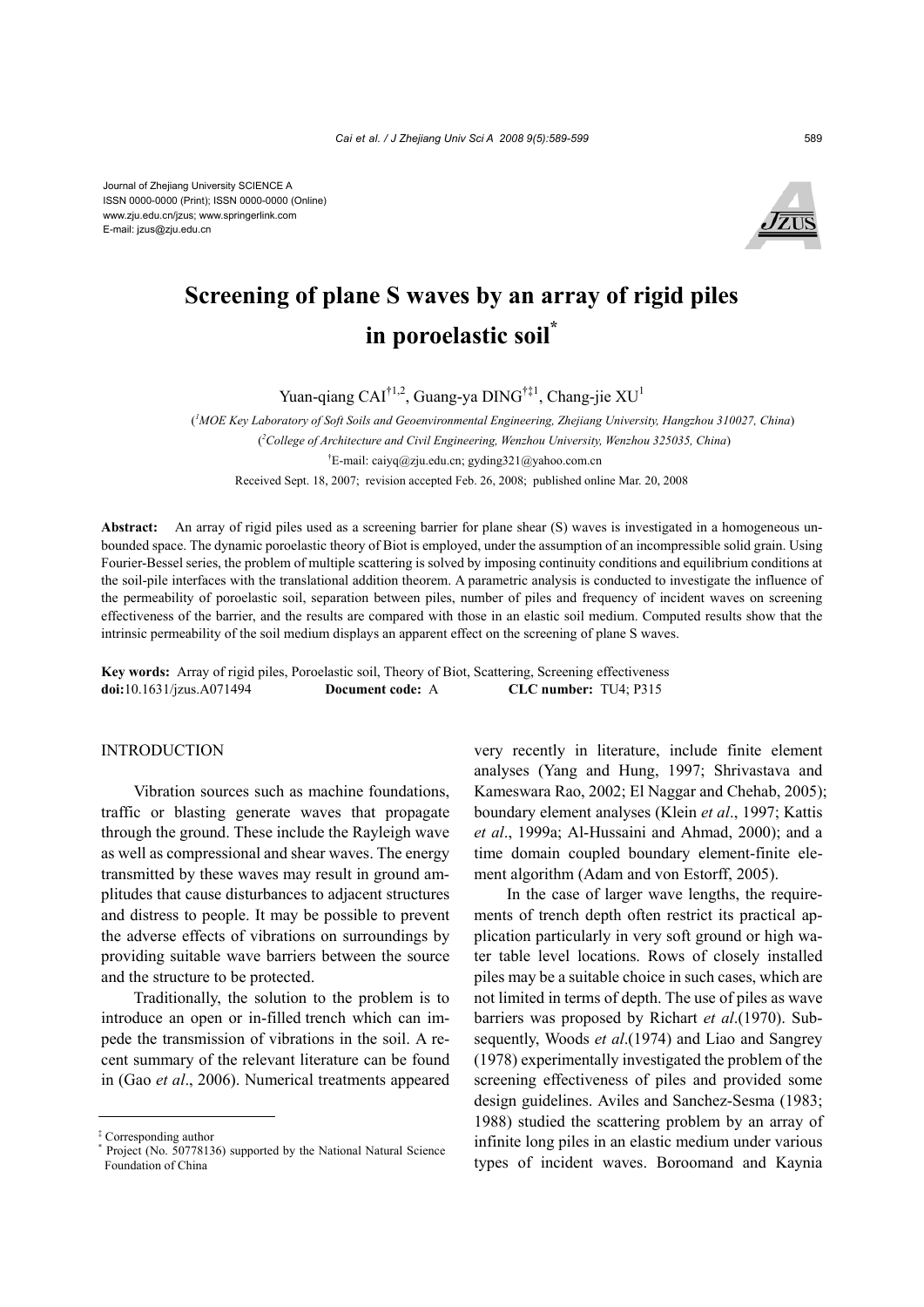Journal of Zhejiang University SCIENCE A ISSN 0000-0000 (Print); ISSN 0000-0000 (Online) www.zju.edu.cn/jzus; www.springerlink.com E-mail: jzus@zju.edu.cn



# **Screening of plane S waves by an array of rigid piles in poroelastic soil\***

Yuan-qiang CAI<sup>†1,2</sup>, Guang-ya DING<sup>†‡1</sup>, Chang-jie XU<sup>1</sup>

( *1 MOE Key Laboratory of Soft Soils and Geoenvironmental Engineering, Zhejiang University, Hangzhou 310027, China*) ( *2 College of Architecture and Civil Engineering, Wenzhou University, Wenzhou 325035, China*) † E-mail: caiyq@zju.edu.cn; gyding321@yahoo.com.cn

Received Sept. 18, 2007; revision accepted Feb. 26, 2008; published online Mar. 20, 2008

**Abstract:** An array of rigid piles used as a screening barrier for plane shear (S) waves is investigated in a homogeneous unbounded space. The dynamic poroelastic theory of Biot is employed, under the assumption of an incompressible solid grain. Using Fourier-Bessel series, the problem of multiple scattering is solved by imposing continuity conditions and equilibrium conditions at the soil-pile interfaces with the translational addition theorem. A parametric analysis is conducted to investigate the influence of the permeability of poroelastic soil, separation between piles, number of piles and frequency of incident waves on screening effectiveness of the barrier, and the results are compared with those in an elastic soil medium. Computed results show that the intrinsic permeability of the soil medium displays an apparent effect on the screening of plane S waves.

**Key words:** Array of rigid piles, Poroelastic soil, Theory of Biot, Scattering, Screening effectiveness **doi:**10.1631/jzus.A071494 **Document code:** A **CLC number:** TU4; P315

#### **INTRODUCTION**

Vibration sources such as machine foundations, traffic or blasting generate waves that propagate through the ground. These include the Rayleigh wave as well as compressional and shear waves. The energy transmitted by these waves may result in ground amplitudes that cause disturbances to adjacent structures and distress to people. It may be possible to prevent the adverse effects of vibrations on surroundings by providing suitable wave barriers between the source and the structure to be protected.

Traditionally, the solution to the problem is to introduce an open or in-filled trench which can impede the transmission of vibrations in the soil. A recent summary of the relevant literature can be found in (Gao *et al*., 2006). Numerical treatments appeared

very recently in literature, include finite element analyses (Yang and Hung, 1997; Shrivastava and Kameswara Rao, 2002; El Naggar and Chehab, 2005); boundary element analyses (Klein *et al*., 1997; Kattis *et al*., 1999a; Al-Hussaini and Ahmad, 2000); and a time domain coupled boundary element-finite element algorithm (Adam and von Estorff, 2005).

In the case of larger wave lengths, the requirements of trench depth often restrict its practical application particularly in very soft ground or high water table level locations. Rows of closely installed piles may be a suitable choice in such cases, which are not limited in terms of depth. The use of piles as wave barriers was proposed by Richart *et al*.(1970). Subsequently, Woods *et al*.(1974) and Liao and Sangrey (1978) experimentally investigated the problem of the screening effectiveness of piles and provided some design guidelines. Aviles and Sanchez-Sesma (1983; 1988) studied the scattering problem by an array of infinite long piles in an elastic medium under various types of incident waves. Boroomand and Kaynia

<sup>‡</sup> Corresponding author

<sup>\*</sup> Project (No. 50778136) supported by the National Natural Science Foundation of China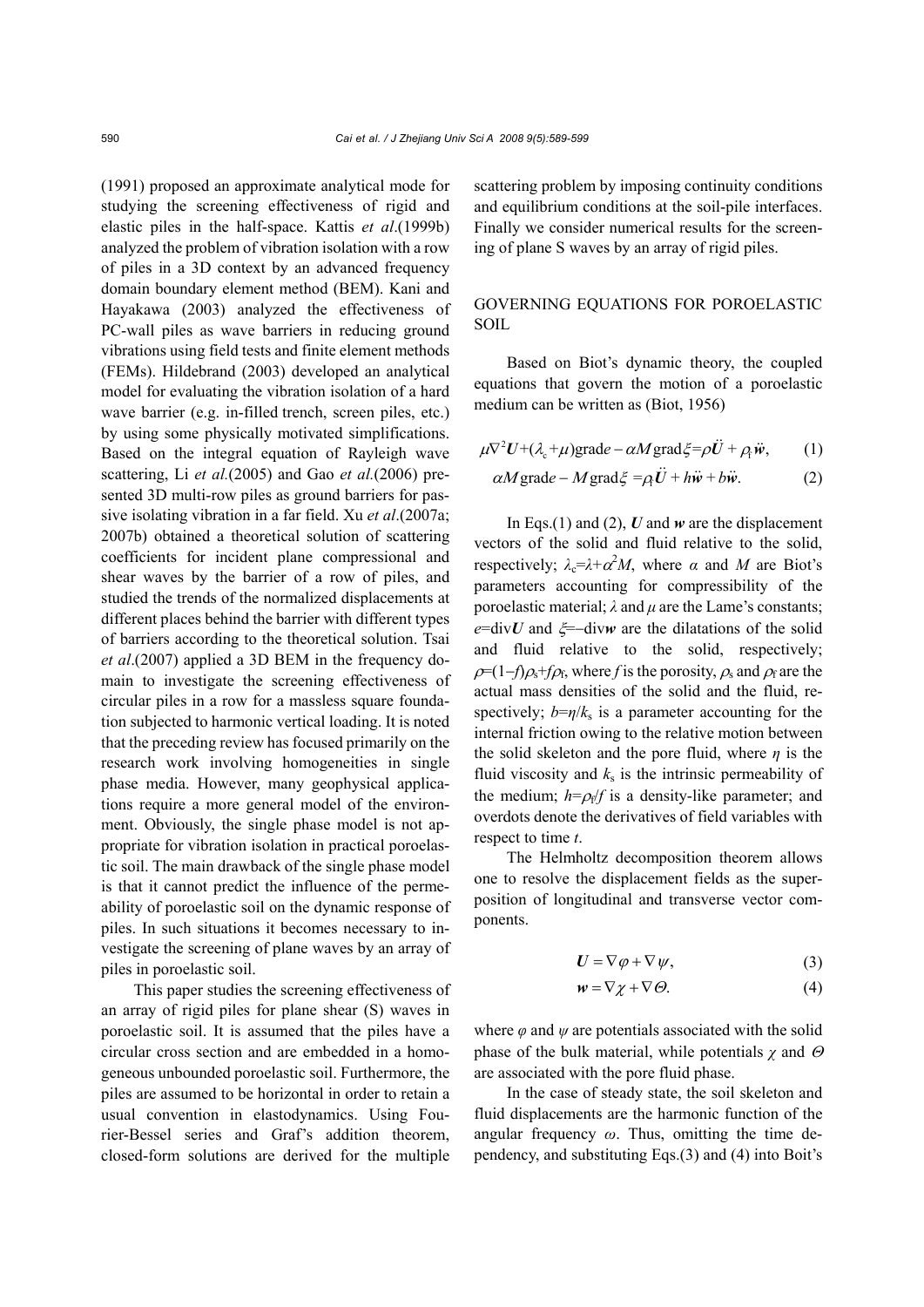(1991) proposed an approximate analytical mode for studying the screening effectiveness of rigid and elastic piles in the half-space. Kattis *et al*.(1999b) analyzed the problem of vibration isolation with a row of piles in a 3D context by an advanced frequency domain boundary element method (BEM). Kani and Hayakawa (2003) analyzed the effectiveness of PC-wall piles as wave barriers in reducing ground vibrations using field tests and finite element methods (FEMs). Hildebrand (2003) developed an analytical model for evaluating the vibration isolation of a hard wave barrier (e.g. in-filled trench, screen piles, etc.) by using some physically motivated simplifications. Based on the integral equation of Rayleigh wave scattering, Li *et al.*(2005) and Gao *et al.*(2006) presented 3D multi-row piles as ground barriers for passive isolating vibration in a far field. Xu *et al*.(2007a; 2007b) obtained a theoretical solution of scattering coefficients for incident plane compressional and shear waves by the barrier of a row of piles, and studied the trends of the normalized displacements at different places behind the barrier with different types of barriers according to the theoretical solution. Tsai *et al*.(2007) applied a 3D BEM in the frequency domain to investigate the screening effectiveness of circular piles in a row for a massless square foundation subjected to harmonic vertical loading. It is noted that the preceding review has focused primarily on the research work involving homogeneities in single phase media. However, many geophysical applications require a more general model of the environment. Obviously, the single phase model is not appropriate for vibration isolation in practical poroelastic soil. The main drawback of the single phase model is that it cannot predict the influence of the permeability of poroelastic soil on the dynamic response of piles. In such situations it becomes necessary to investigate the screening of plane waves by an array of piles in poroelastic soil.

This paper studies the screening effectiveness of an array of rigid piles for plane shear (S) waves in poroelastic soil. It is assumed that the piles have a circular cross section and are embedded in a homogeneous unbounded poroelastic soil. Furthermore, the piles are assumed to be horizontal in order to retain a usual convention in elastodynamics. Using Fourier-Bessel series and Graf's addition theorem, closed-form solutions are derived for the multiple

scattering problem by imposing continuity conditions and equilibrium conditions at the soil-pile interfaces. Finally we consider numerical results for the screening of plane S waves by an array of rigid piles.

## GOVERNING EQUATIONS FOR POROELASTIC SOIL

Based on Biot's dynamic theory, the coupled equations that govern the motion of a poroelastic medium can be written as (Biot, 1956)

$$
\mu \nabla^2 \boldsymbol{U} + (\lambda_c + \mu) \text{grade} - \alpha M \text{grad} \xi = \rho \ddot{\boldsymbol{U}} + \rho_t \ddot{\boldsymbol{w}}, \qquad (1)
$$

$$
\alpha M \text{ grade} - M \text{ grad} \xi = \alpha \ddot{U} + h \ddot{w} + b \ddot{w}.
$$
 (2)

In Eqs.(1) and (2), *U* and *w* are the displacement vectors of the solid and fluid relative to the solid, respectively;  $\lambda_c = \lambda + \alpha^2 M$ , where  $\alpha$  and M are Biot's parameters accounting for compressibility of the poroelastic material; *λ* and *μ* are the Lame's constants; *e*=div*U* and ξ=−div*w* are the dilatations of the solid and fluid relative to the solid, respectively;  $\rho=(1-f)\rho_s+f\rho_f$ , where *f* is the porosity,  $\rho_s$  and  $\rho_f$  are the actual mass densities of the solid and the fluid, respectively;  $b = \frac{\eta}{k_s}$  is a parameter accounting for the internal friction owing to the relative motion between the solid skeleton and the pore fluid, where  $\eta$  is the fluid viscosity and  $k<sub>s</sub>$  is the intrinsic permeability of the medium;  $h = \rho_f/f$  is a density-like parameter; and overdots denote the derivatives of field variables with respect to time *t*.

The Helmholtz decomposition theorem allows one to resolve the displacement fields as the superposition of longitudinal and transverse vector components.

$$
U = \nabla \varphi + \nabla \psi, \tag{3}
$$

$$
w = \nabla \chi + \nabla \Theta.
$$
 (4)

where  $\varphi$  and  $\psi$  are potentials associated with the solid phase of the bulk material, while potentials  $\gamma$  and  $\Theta$ are associated with the pore fluid phase.

In the case of steady state, the soil skeleton and fluid displacements are the harmonic function of the angular frequency *ω*. Thus, omitting the time dependency, and substituting Eqs.(3) and (4) into Boit's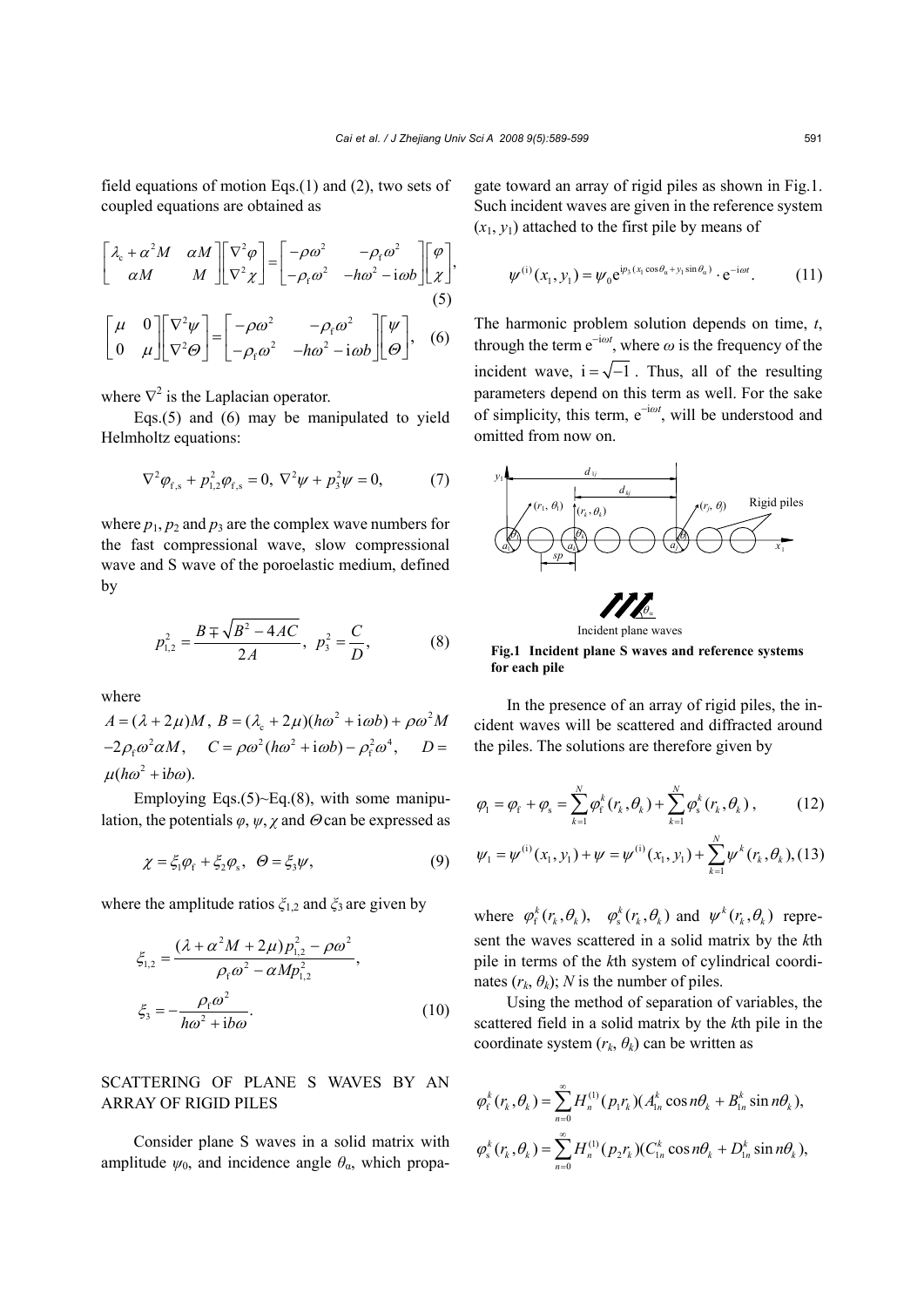field equations of motion Eqs.(1) and (2), two sets of coupled equations are obtained as

$$
\begin{bmatrix} \lambda_{c} + \alpha^{2} M & \alpha M \\ \alpha M & M \end{bmatrix} \begin{bmatrix} \nabla^{2} \varphi \\ \nabla^{2} \chi \end{bmatrix} = \begin{bmatrix} -\rho \omega^{2} & -\rho_{f} \omega^{2} \\ -\rho_{f} \omega^{2} & -h \omega^{2} - i \omega b \end{bmatrix} \begin{bmatrix} \varphi \\ \chi \end{bmatrix},
$$
\n(5)\n
$$
\begin{bmatrix} \mu & 0 \\ 0 & \mu \end{bmatrix} \begin{bmatrix} \nabla^{2} \psi \\ \nabla^{2} \varphi \end{bmatrix} = \begin{bmatrix} -\rho \omega^{2} & -\rho_{f} \omega^{2} \\ -\rho_{f} \omega^{2} & -h \omega^{2} - i \omega b \end{bmatrix} \begin{bmatrix} \psi \\ \varphi \end{bmatrix},
$$

where  $\nabla^2$  is the Laplacian operator.

Eqs.(5) and (6) may be manipulated to yield Helmholtz equations:

$$
\nabla^2 \varphi_{\text{f,s}} + p_{1,2}^2 \varphi_{\text{f,s}} = 0, \ \nabla^2 \psi + p_3^2 \psi = 0, \tag{7}
$$

where  $p_1$ ,  $p_2$  and  $p_3$  are the complex wave numbers for the fast compressional wave, slow compressional wave and S wave of the poroelastic medium, defined by

$$
p_{1,2}^2 = \frac{B \mp \sqrt{B^2 - 4AC}}{2A}, \ \ p_3^2 = \frac{C}{D}, \tag{8}
$$

where

$$
A = (\lambda + 2\mu)M, B = (\lambda_c + 2\mu)(h\omega^2 + i\omega b) + \rho\omega^2 M
$$
  
-2 $\rho_f \omega^2 \alpha M$ ,  $C = \rho\omega^2 (h\omega^2 + i\omega b) - \rho_f^2 \omega^4$ ,  $D = \mu(h\omega^2 + ib\omega)$ .

Employing Eqs. $(5)$ ~Eq. $(8)$ , with some manipulation, the potentials  $\varphi$ ,  $\psi$ ,  $\chi$  and  $\Theta$  can be expressed as

$$
\chi = \xi_1 \varphi_f + \xi_2 \varphi_s, \quad \Theta = \xi_3 \psi, \tag{9}
$$

where the amplitude ratios *ξ*1,2 and *ξ*3 are given by

$$
\xi_{1,2} = \frac{(\lambda + \alpha^2 M + 2\mu) p_{1,2}^2 - \rho \omega^2}{\rho_f \omega^2 - \alpha M p_{1,2}^2},
$$
  

$$
\xi_3 = -\frac{\rho_f \omega^2}{h \omega^2 + ib \omega}.
$$
 (10)

SCATTERING OF PLANE S WAVES BY AN ARRAY OF RIGID PILES

Consider plane S waves in a solid matrix with amplitude  $\psi_0$ , and incidence angle  $\theta_\alpha$ , which propagate toward an array of rigid piles as shown in Fig.1. Such incident waves are given in the reference system  $(x_1, y_1)$  attached to the first pile by means of

$$
\psi^{(i)}(x_1, y_1) = \psi_0 e^{ip_3(x_1 \cos \theta_a + y_1 \sin \theta_a)} \cdot e^{-i\omega t}.
$$
 (11)

The harmonic problem solution depends on time, *t*, through the term  $e^{-i\omega t}$ , where  $\omega$  is the frequency of the incident wave,  $i = \sqrt{-1}$ . Thus, all of the resulting parameters depend on this term as well. For the sake of simplicity, this term, e<sup>−</sup>i*ω<sup>t</sup>* , will be understood and omitted from now on.



Incident plane waves

**Fig.1 Incident plane S waves and reference systems for each pile**

In the presence of an array of rigid piles, the incident waves will be scattered and diffracted around the piles. The solutions are therefore given by

$$
\varphi_{1} = \varphi_{f} + \varphi_{s} = \sum_{k=1}^{N} \varphi_{f}^{k}(r_{k}, \theta_{k}) + \sum_{k=1}^{N} \varphi_{s}^{k}(r_{k}, \theta_{k}), \qquad (12)
$$

$$
\psi_1 = \psi^{(i)}(x_1, y_1) + \psi = \psi^{(i)}(x_1, y_1) + \sum_{k=1}^{N} \psi^k(r_k, \theta_k),
$$
 (13)

where  $\varphi_f^k(r_k, \theta_k)$ ,  $\varphi_s^k(r_k, \theta_k)$  and  $\psi^k(r_k, \theta_k)$  represent the waves scattered in a solid matrix by the *k*th pile in terms of the *k*th system of cylindrical coordinates  $(r_k, \theta_k)$ ; *N* is the number of piles.

Using the method of separation of variables, the scattered field in a solid matrix by the *k*th pile in the coordinate system  $(r_k, \theta_k)$  can be written as

$$
\varphi_{f}^{k}(r_{k},\theta_{k}) = \sum_{n=0}^{\infty} H_{n}^{(1)}(p_{1}r_{k})(A_{1n}^{k}\cos n\theta_{k} + B_{1n}^{k}\sin n\theta_{k}),
$$
  

$$
\varphi_{s}^{k}(r_{k},\theta_{k}) = \sum_{n=0}^{\infty} H_{n}^{(1)}(p_{2}r_{k})(C_{1n}^{k}\cos n\theta_{k} + D_{1n}^{k}\sin n\theta_{k}),
$$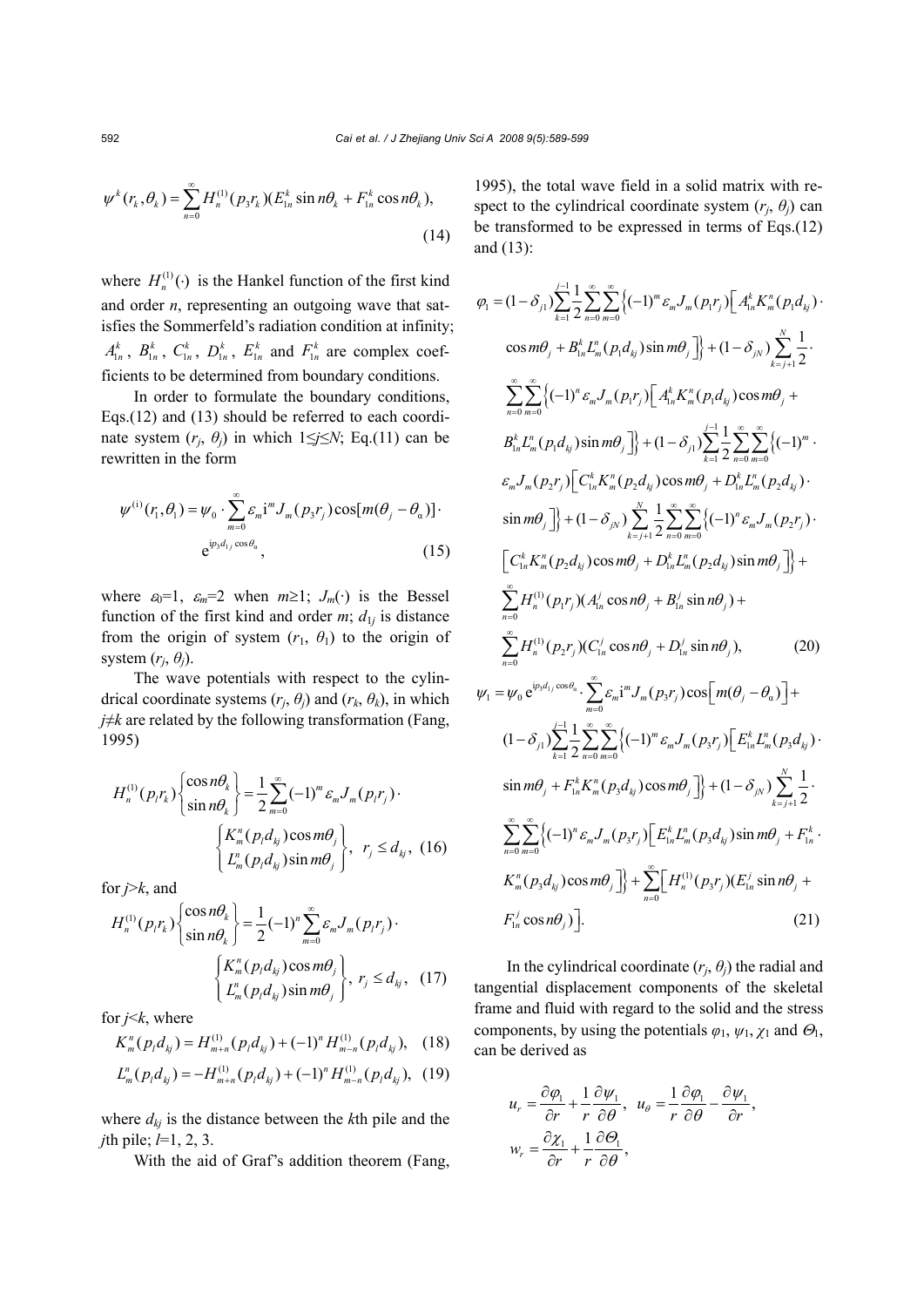$$
\psi^{k}(r_{k},\theta_{k}) = \sum_{n=0}^{\infty} H_{n}^{(1)}(p_{3}r_{k})(E_{1n}^{k}\sin n\theta_{k} + F_{1n}^{k}\cos n\theta_{k}),
$$
\n(14)

where  $H_n^{(1)}(\cdot)$  is the Hankel function of the first kind and order *n*, representing an outgoing wave that satisfies the Sommerfeld's radiation condition at infinity;  $A_{1n}^k$ ,  $B_{1n}^k$ ,  $C_{1n}^k$ ,  $D_{1n}^k$ ,  $E_{1n}^k$  and  $F_{1n}^k$  are complex coefficients to be determined from boundary conditions.

In order to formulate the boundary conditions, Eqs.(12) and (13) should be referred to each coordinate system  $(r_i, \theta_i)$  in which  $1 \leq j \leq N$ ; Eq.(11) can be rewritten in the form

$$
\psi^{(i)}(r_1, \theta_1) = \psi_0 \cdot \sum_{m=0}^{\infty} \varepsilon_m i^m J_m(p_3 r_j) \cos[m(\theta_j - \theta_\alpha)].
$$
  

$$
e^{ip_3 d_{1j} \cos \theta_\alpha}, \qquad (15)
$$

where  $\varepsilon_0=1$ ,  $\varepsilon_m=2$  when  $m\geq 1$ ;  $J_m(\cdot)$  is the Bessel function of the first kind and order  $m$ ;  $d_{1j}$  is distance from the origin of system  $(r_1, \theta_1)$  to the origin of system  $(r_i, \theta_i)$ .

The wave potentials with respect to the cylindrical coordinate systems  $(r_i, \theta_i)$  and  $(r_k, \theta_k)$ , in which *j*≠*k* are related by the following transformation (Fang, 1995)

$$
H_n^{(1)}(p_ir_k)\begin{cases} \cos n\theta_k \\ \sin n\theta_k \end{cases} = \frac{1}{2} \sum_{m=0}^{\infty} (-1)^m \varepsilon_m J_m(p_ir_j) \cdot \begin{cases} K_m^n(p_id_{kj})\cos m\theta_j \\ L_m^n(p_id_{kj})\sin m\theta_j \end{cases}, \ r_j \le d_{kj}, \ (16)
$$

for *j*>*k*, and

$$
H_n^{(1)}(p_i r_k) \begin{cases} \cos n\theta_k \\ \sin n\theta_k \end{cases} = \frac{1}{2} (-1)^n \sum_{m=0}^{\infty} \varepsilon_m J_m(p_i r_j) \cdot \begin{cases} K_m^n(p_i d_{kj}) \cos m\theta_j \\ L_m^n(p_i d_{kj}) \sin m\theta_j \end{cases}, r_j \le d_{kj}, (17)
$$

for *j*<*k*, where

$$
K_{m}^{n}(p_{l}d_{kj}) = H_{m+n}^{(1)}(p_{l}d_{kj}) + (-1)^{n} H_{m-n}^{(1)}(p_{l}d_{kj}), \quad (18)
$$

$$
L_{m}^{n}(p_{i}d_{kj}) = -H_{m+n}^{(1)}(p_{i}d_{kj}) + (-1)^{n} H_{m-n}^{(1)}(p_{i}d_{kj}), \quad (19)
$$

where  $d_{ki}$  is the distance between the *k*th pile and the *j*th pile; *l*=1, 2, 3.

With the aid of Graf's addition theorem (Fang,

1995), the total wave field in a solid matrix with respect to the cylindrical coordinate system  $(r_i, \theta_i)$  can be transformed to be expressed in terms of Eqs.(12) and (13):

$$
\varphi_{1} = (1 - \delta_{j1}) \sum_{k=1}^{j-1} \frac{1}{2} \sum_{n=0}^{\infty} \sum_{m=0}^{\infty} \{ (-1)^{m} \varepsilon_{m} J_{m}(p_{1}r_{j}) \Big[ A_{1n}^{k} K_{m}^{n}(p_{1}d_{kj}) \cdot \cos m\theta_{j} + B_{1n}^{k} L_{m}^{n}(p_{1}d_{kj}) \sin m\theta_{j} \Big] \} + (1 - \delta_{jN}) \sum_{k=j+1}^{N} \frac{1}{2} \cdot \sum_{n=0}^{\infty} \sum_{m=0}^{\infty} \{ (-1)^{n} \varepsilon_{m} J_{m}(p_{1}r_{j}) \Big[ A_{1n}^{k} K_{m}^{n}(p_{1}d_{kj}) \cos m\theta_{j} + B_{1n}^{k} L_{m}^{n}(p_{1}d_{kj}) \sin m\theta_{j} \Big] \} + (1 - \delta_{j1}) \sum_{k=1}^{j-1} \frac{1}{2} \sum_{n=0}^{\infty} \sum_{m=0}^{\infty} \{ (-1)^{m} \cdot \varepsilon_{m} J_{m}(p_{2}r_{j}) \Big[ C_{1n}^{k} K_{m}^{n}(p_{2}d_{kj}) \cos m\theta_{j} + D_{1n}^{k} L_{m}^{n}(p_{2}d_{kj}) \cdot \sin m\theta_{j} \Big] \} + (1 - \delta_{jN}) \sum_{k=j+1}^{N} \frac{1}{2} \sum_{n=0}^{\infty} \sum_{m=0}^{\infty} \{ (-1)^{n} \varepsilon_{m} J_{m}(p_{2}r_{j}) \cdot \Big[ C_{1n}^{k} K_{m}^{n}(p_{2}d_{kj}) \cos m\theta_{j} + D_{1n}^{k} L_{m}^{n}(p_{2}d_{kj}) \sin m\theta_{j} \Big] \} + \sum_{n=0}^{\infty} H_{n}^{(1)}(p_{1}r_{j}) (A_{1n}^{l} \cos n\theta_{j} + B_{1n}^{l} \sin n\theta_{j}) + \sum_{n=0}^{\infty} H_{n}^{(1)}(p_{2}r_{j}) (C_{1n}^{l} \cos n\theta_{j} + D_{1n}^{l} \sin n\theta_{j}) + \sum_{n=0}^{\infty} H
$$

In the cylindrical coordinate  $(r_i, \theta_i)$  the radial and tangential displacement components of the skeletal frame and fluid with regard to the solid and the stress components, by using the potentials  $\varphi_1$ ,  $\psi_1$ ,  $\chi_1$  and  $\Theta_1$ , can be derived as

$$
u_r = \frac{\partial \varphi_1}{\partial r} + \frac{1}{r} \frac{\partial \psi_1}{\partial \theta}, \ \ u_\theta = \frac{1}{r} \frac{\partial \varphi_1}{\partial \theta} - \frac{\partial \psi_1}{\partial r},
$$

$$
w_r = \frac{\partial \chi_1}{\partial r} + \frac{1}{r} \frac{\partial \varphi_1}{\partial \theta},
$$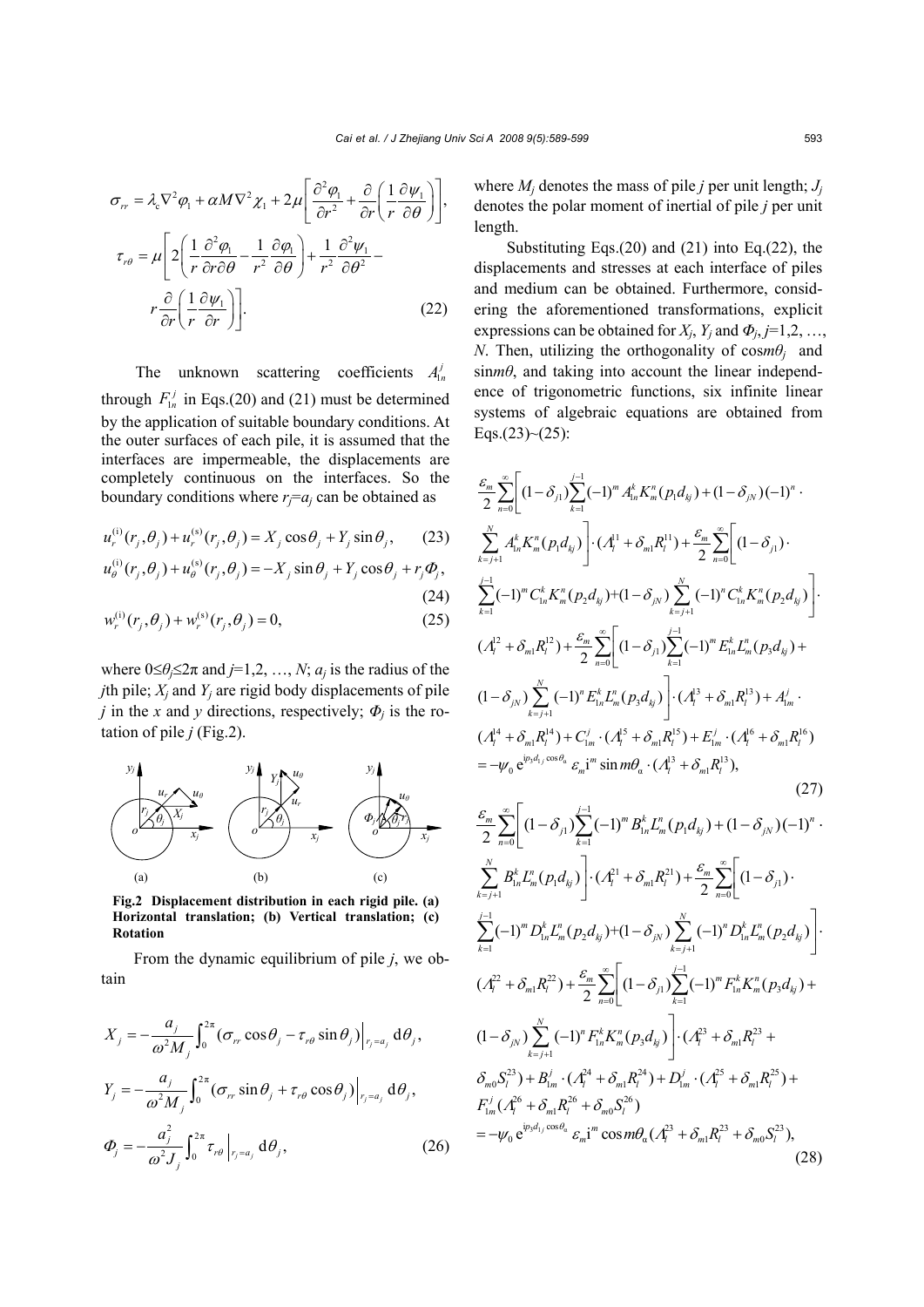$$
\sigma_{rr} = \lambda_{c} \nabla^{2} \varphi_{1} + \alpha M \nabla^{2} \chi_{1} + 2 \mu \left[ \frac{\partial^{2} \varphi_{1}}{\partial r^{2}} + \frac{\partial}{\partial r} \left( \frac{1}{r} \frac{\partial \psi_{1}}{\partial \theta} \right) \right],
$$
  

$$
\tau_{r\theta} = \mu \left[ 2 \left( \frac{1}{r} \frac{\partial^{2} \varphi_{1}}{\partial r \partial \theta} - \frac{1}{r^{2}} \frac{\partial \varphi_{1}}{\partial \theta} \right) + \frac{1}{r^{2}} \frac{\partial^{2} \psi_{1}}{\partial \theta^{2}} - \frac{1}{r^{2}} \frac{\partial}{\partial r} \left( \frac{1}{r} \frac{\partial \psi_{1}}{\partial r} \right) \right].
$$
 (22)

The unknown scattering coefficients  $A_{1n}^j$ through  $F_{1n}^j$  in Eqs.(20) and (21) must be determined by the application of suitable boundary conditions. At the outer surfaces of each pile, it is assumed that the interfaces are impermeable, the displacements are completely continuous on the interfaces. So the boundary conditions where  $r_i = a_i$  can be obtained as

$$
u_r^{(i)}(r_i, \theta_j) + u_r^{(s)}(r_i, \theta_j) = X_i \cos \theta_i + Y_i \sin \theta_i, \qquad (23)
$$

$$
u_{\theta}^{(i)}(r_j, \theta_j) + u_{\theta}^{(s)}(r_j, \theta_j) = -X_j \sin \theta_j + Y_j \cos \theta_j + r_j \phi_j,
$$

(24)  

$$
w_r^{(i)}(r_i, \theta_i) + w_r^{(s)}(r_i, \theta_i) = 0,
$$

where  $0 \le \theta_j \le 2\pi$  and  $j=1,2,\ldots,N; a_j$  is the radius of the *j*th pile;  $X_i$  and  $Y_j$  are rigid body displacements of pile *j* in the *x* and *y* directions, respectively;  $\Phi_i$  is the rotation of pile *j* (Fig.2).



**Fig.2 Displacement distribution in each rigid pile. (a) Horizontal translation; (b) Vertical translation; (c) Rotation**

From the dynamic equilibrium of pile *j*, we obtain

$$
X_j = -\frac{a_j}{\omega^2 M_j} \int_0^{2\pi} (\sigma_r \cos \theta_j - \tau_{r\theta} \sin \theta_j) \Big|_{r_j = a_j} d\theta_j,
$$
  
\n
$$
Y_j = -\frac{a_j}{\omega^2 M_j} \int_0^{2\pi} (\sigma_r \sin \theta_j + \tau_{r\theta} \cos \theta_j) \Big|_{r_j = a_j} d\theta_j,
$$
  
\n
$$
\Phi_j = -\frac{a_j^2}{\omega^2 J_j} \int_0^{2\pi} \tau_{r\theta} \Big|_{r_j = a_j} d\theta_j,
$$
\n(26)

where  $M_i$  denotes the mass of pile *j* per unit length;  $J_i$ denotes the polar moment of inertial of pile *j* per unit length.

Substituting Eqs. $(20)$  and  $(21)$  into Eq. $(22)$ , the displacements and stresses at each interface of piles and medium can be obtained. Furthermore, considering the aforementioned transformations, explicit expressions can be obtained for  $X_i$ ,  $Y_i$  and  $\Phi_i$ ,  $j=1,2,\ldots$ , *N*. Then, utilizing the orthogonality of cosm $\theta$ <sup>*j*</sup> and  $\sin m\theta$ , and taking into account the linear independence of trigonometric functions, six infinite linear systems of algebraic equations are obtained from Eqs. $(23)$  ~  $(25)$ :

$$
\frac{\varepsilon_m}{2} \sum_{n=0}^{\infty} \left[ (1 - \delta_{j1}) \sum_{k=1}^{j-1} (-1)^m A_{1n}^k K_m^n (p_1 d_{kj}) + (1 - \delta_{jN}) (-1)^n \right] \cdot \sum_{k=j+1}^N A_{1n}^k K_m^n (p_1 d_{kj}) \cdot (A_i^{11} + \delta_{m1} R_i^{11}) + \frac{\varepsilon_m}{2} \sum_{n=0}^{\infty} \left[ (1 - \delta_{j1}) \cdot \sum_{k=1}^{j-1} (-1)^m C_{1n}^k K_m^n (p_2 d_{kj}) + (1 - \delta_{jN}) \sum_{k=j+1}^N (-1)^n C_{1n}^k K_m^n (p_2 d_{kj}) \right] \cdot (A_i^{12} + \delta_{m1} R_i^{12}) + \frac{\varepsilon_m}{2} \sum_{n=0}^{\infty} \left[ (1 - \delta_{j1}) \sum_{k=1}^{j-1} (-1)^m E_{1n}^k L_m^n (p_3 d_{kj}) + (1 - \delta_{jN}) \sum_{k=j+1}^N (-1)^n E_{1n}^k L_m^n (p_3 d_{kj}) \right] \cdot (A_i^{13} + \delta_{m1} R_i^{13}) + A_{1m}^j \cdot (A_i^{14} + \delta_{m1} R_i^{14}) + C_{1m}^j \cdot (A_i^{15} + \delta_{m1} R_i^{15}) + E_{1m}^j \cdot (A_i^{16} + \delta_{m1} R_i^{16})
$$
  
=  $-\psi_0 e^{ip_3 d_{1j} \cos \theta_\alpha} \varepsilon_m i^m \sin m\theta_\alpha \cdot (A_i^{13} + \delta_{m1} R_i^{13}),$  (27)

$$
\frac{\varepsilon_{m}}{2} \sum_{n=0}^{\infty} \left[ (1 - \delta_{j1}) \sum_{k=1}^{j-1} (-1)^{m} B_{1n}^{k} L_{m}^{n} (p_{1} d_{kj}) + (1 - \delta_{jN}) (-1)^{n} \cdot \right. \n\sum_{k=j+1}^{N} B_{1n}^{k} L_{m}^{n} (p_{1} d_{kj}) \right] \cdot (A_{i}^{21} + \delta_{m1} R_{i}^{21}) + \frac{\varepsilon_{m}}{2} \sum_{n=0}^{\infty} \left[ (1 - \delta_{j1}) \cdot \sum_{k=1}^{j-1} (-1)^{m} D_{1n}^{k} L_{m}^{n} (p_{2} d_{kj}) + (1 - \delta_{jN}) \sum_{k=j+1}^{N} (-1)^{n} D_{1n}^{k} L_{m}^{n} (p_{2} d_{kj}) \right] \cdot (A_{i}^{22} + \delta_{m1} R_{i}^{22}) + \frac{\varepsilon_{m}}{2} \sum_{n=0}^{\infty} \left[ (1 - \delta_{j1}) \sum_{k=1}^{j-1} (-1)^{m} F_{1n}^{k} K_{m}^{n} (p_{3} d_{kj}) + (1 - \delta_{jN}) \sum_{k=j+1}^{N} (-1)^{n} F_{1n}^{k} K_{m}^{n} (p_{3} d_{kj}) \right] \cdot (A_{i}^{23} + \delta_{m1} R_{i}^{23} + \delta_{m0} S_{i}^{23}) + B_{1m}^{j} \cdot (A_{i}^{24} + \delta_{m1} R_{i}^{24}) + D_{1m}^{j} \cdot (A_{i}^{25} + \delta_{m1} R_{i}^{25}) + F_{1m}^{j} (A_{i}^{26} + \delta_{m1} R_{i}^{26} + \delta_{m0} S_{i}^{26}) = -\psi_{0} e^{ip_{3} d_{1j} \cos \theta_{\alpha}} \varepsilon_{m1}^{1} \cos m\theta_{\alpha} (A_{i}^{23} + \delta_{m1} R_{i}^{23} + \delta_{m0} S_{i}^{23}), \tag{28}
$$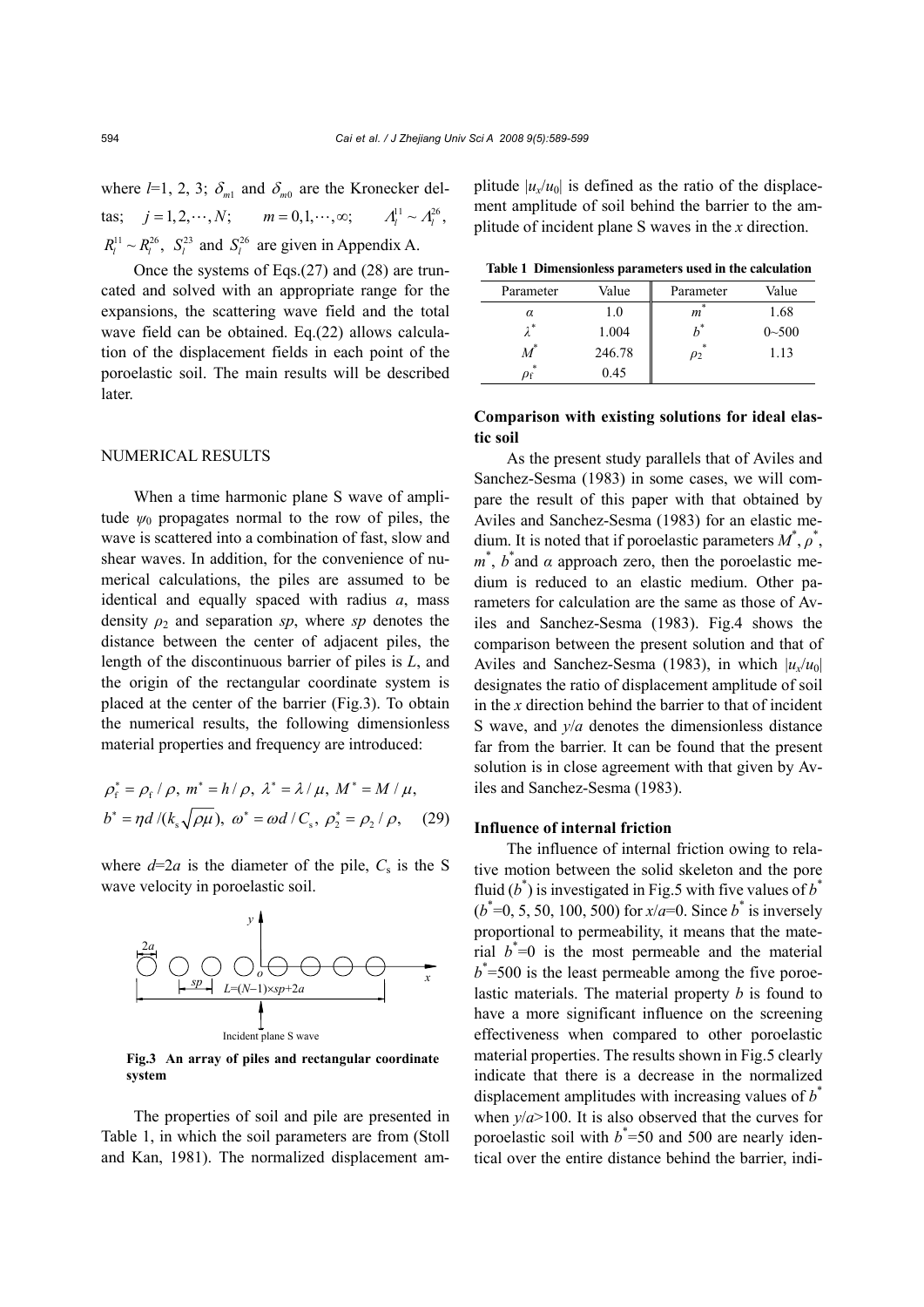where  $l=1, 2, 3$ ;  $\delta_{m1}$  and  $\delta_{m0}$  are the Kronecker deltas;  $j = 1, 2, \dots, N;$   $m = 0, 1, \dots, \infty;$   $\Lambda_l^{11} \sim \Lambda_l^{26}$  $R_l^{11} \sim R_l^{26}$ ,  $S_l^{23}$  and  $S_l^{26}$  are given in Appendix A.

Once the systems of Eqs.(27) and (28) are truncated and solved with an appropriate range for the expansions, the scattering wave field and the total wave field can be obtained. Eq.(22) allows calculation of the displacement fields in each point of the poroelastic soil. The main results will be described later.

#### NUMERICAL RESULTS

When a time harmonic plane S wave of amplitude  $\psi_0$  propagates normal to the row of piles, the wave is scattered into a combination of fast, slow and shear waves. In addition, for the convenience of numerical calculations, the piles are assumed to be identical and equally spaced with radius *a*, mass density  $\rho_2$  and separation *sp*, where *sp* denotes the distance between the center of adjacent piles, the length of the discontinuous barrier of piles is *L*, and the origin of the rectangular coordinate system is placed at the center of the barrier (Fig.3). To obtain the numerical results, the following dimensionless material properties and frequency are introduced:

$$
\rho_{f}^{*} = \rho_{f} / \rho, \; m^{*} = h / \rho, \; \lambda^{*} = \lambda / \mu, \; M^{*} = M / \mu, \nb^{*} = \eta d / (k_{s} \sqrt{\rho \mu}), \; \omega^{*} = \omega d / C_{s}, \; \rho_{2}^{*} = \rho_{2} / \rho, \quad (29)
$$

where  $d=2a$  is the diameter of the pile,  $C_s$  is the S wave velocity in poroelastic soil.



**Fig.3 An array of piles and rectangular coordinate system**

The properties of soil and pile are presented in Table 1, in which the soil parameters are from (Stoll and Kan, 1981). The normalized displacement amplitude  $|u_x/u_0|$  is defined as the ratio of the displacement amplitude of soil behind the barrier to the amplitude of incident plane S waves in the *x* direction.

**Table 1 Dimensionless parameters used in the calculation**

| Parameter | Value  | Parameter      | Value     |
|-----------|--------|----------------|-----------|
| α         | 1.0    | ×.<br>m        | 1.68      |
| n *       | 1.004  | $b^*$          | $0 - 500$ |
|           | 246.78 | xk<br>$\rho_2$ | 1.13      |
| $\ast$    | 0.45   |                |           |

## **Comparison with existing solutions for ideal elastic soil**

As the present study parallels that of Aviles and Sanchez-Sesma (1983) in some cases, we will compare the result of this paper with that obtained by Aviles and Sanchez-Sesma (1983) for an elastic medium. It is noted that if poroelastic parameters  $M^*$ ,  $\rho^*$ ,  $m^*$ ,  $b^*$  and  $\alpha$  approach zero, then the poroelastic medium is reduced to an elastic medium. Other parameters for calculation are the same as those of Aviles and Sanchez-Sesma (1983). Fig.4 shows the comparison between the present solution and that of Aviles and Sanchez-Sesma (1983), in which  $|u_x/u_0|$ designates the ratio of displacement amplitude of soil in the *x* direction behind the barrier to that of incident S wave, and *y*/*a* denotes the dimensionless distance far from the barrier. It can be found that the present solution is in close agreement with that given by Aviles and Sanchez-Sesma (1983).

### **Influence of internal friction**

The influence of internal friction owing to relative motion between the solid skeleton and the pore fluid  $(b^*)$  is investigated in Fig.5 with five values of  $b^*$  $(b^* = 0, 5, 50, 100, 500)$  for  $x/a = 0$ . Since  $b^*$  is inversely proportional to permeability, it means that the material  $b^*$ =0 is the most permeable and the material  $b^*$ =500 is the least permeable among the five poroelastic materials. The material property *b* is found to have a more significant influence on the screening effectiveness when compared to other poroelastic material properties. The results shown in Fig.5 clearly indicate that there is a decrease in the normalized displacement amplitudes with increasing values of  $b^*$ when *y*/*a*>100. It is also observed that the curves for poroelastic soil with  $b^*$ =50 and 500 are nearly identical over the entire distance behind the barrier, indi-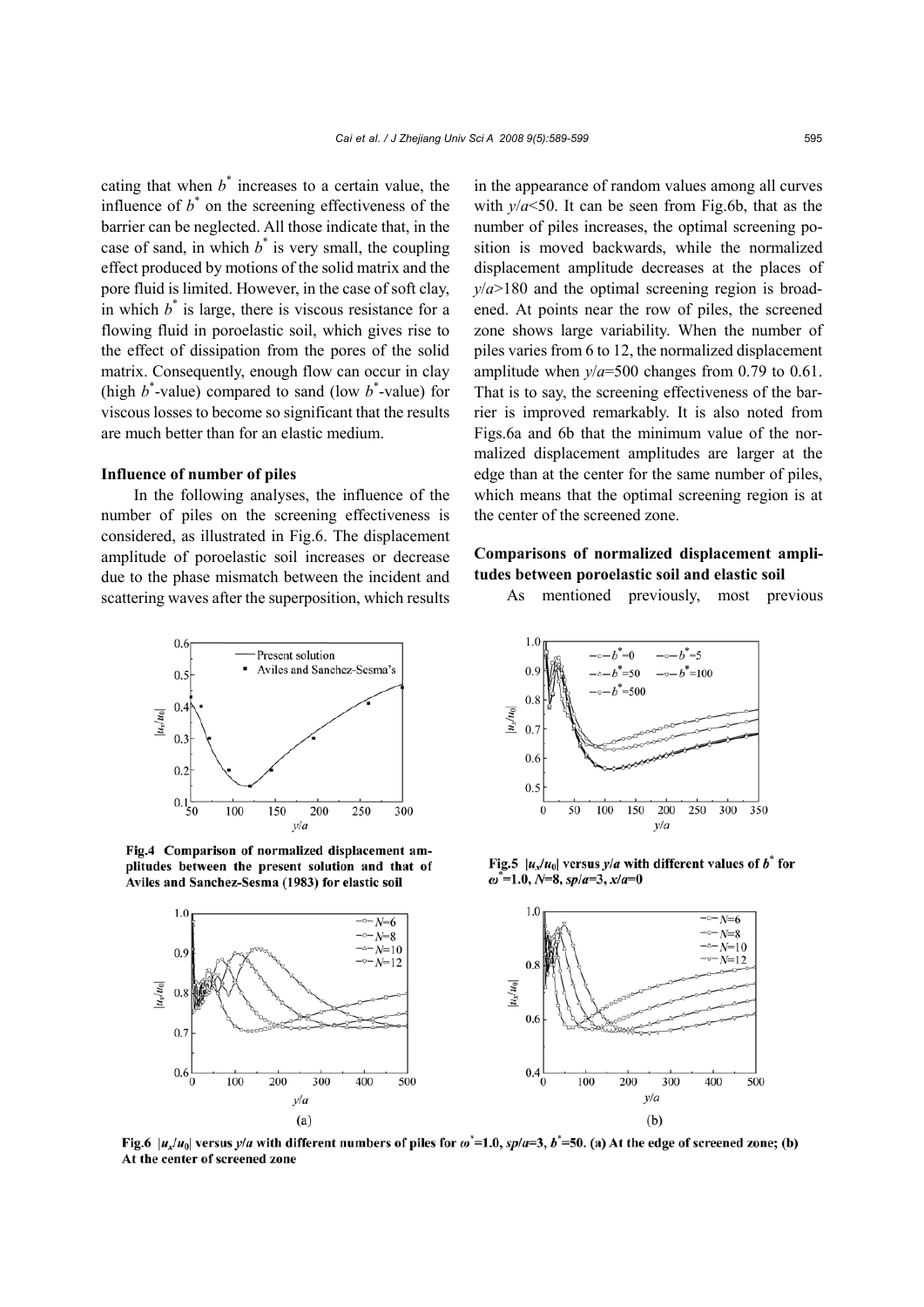cating that when  $b^*$  increases to a certain value, the influence of  $b^*$  on the screening effectiveness of the barrier can be neglected. All those indicate that, in the case of sand, in which  $b^*$  is very small, the coupling effect produced by motions of the solid matrix and the pore fluid is limited. However, in the case of soft clay, in which  $b^*$  is large, there is viscous resistance for a flowing fluid in poroelastic soil, which gives rise to the effect of dissipation from the pores of the solid matrix. Consequently, enough flow can occur in clay (high  $b^*$ -value) compared to sand (low  $b^*$ -value) for viscous losses to become so significant that the results are much better than for an elastic medium.

#### **Influence of number of piles**

In the following analyses, the influence of the number of piles on the screening effectiveness is considered, as illustrated in Fig.6. The displacement amplitude of poroelastic soil increases or decrease due to the phase mismatch between the incident and scattering waves after the superposition, which results in the appearance of random values among all curves with  $v/a < 50$ . It can be seen from Fig.6b, that as the number of piles increases, the optimal screening position is moved backwards, while the normalized displacement amplitude decreases at the places of  $y/a$  >180 and the optimal screening region is broadened. At points near the row of piles, the screened zone shows large variability. When the number of piles varies from 6 to 12, the normalized displacement amplitude when  $y/a=500$  changes from 0.79 to 0.61. That is to say, the screening effectiveness of the barrier is improved remarkably. It is also noted from Figs.6a and 6b that the minimum value of the normalized displacement amplitudes are larger at the edge than at the center for the same number of piles, which means that the optimal screening region is at the center of the screened zone.

## **Comparisons of normalized displacement amplitudes between poroelastic soil and elastic soil**



Fig.4 Comparison of normalized displacement amplitudes between the present solution and that of Aviles and Sanchez-Sesma (1983) for elastic soil



Fig.5  $|u_x/u_0|$  versus y/a with different values of b<sup>\*</sup> for  $\omega$ <sup>\*</sup>=1.0, N=8, sp/a=3, x/a=0



Fig.6  $|u_x/u_0|$  versus y/a with different numbers of piles for  $\omega^*$ =1.0, sp/a=3,  $b^*$ =50. (a) At the edge of screened zone; (b) At the center of screened zone

As mentioned previously, most previous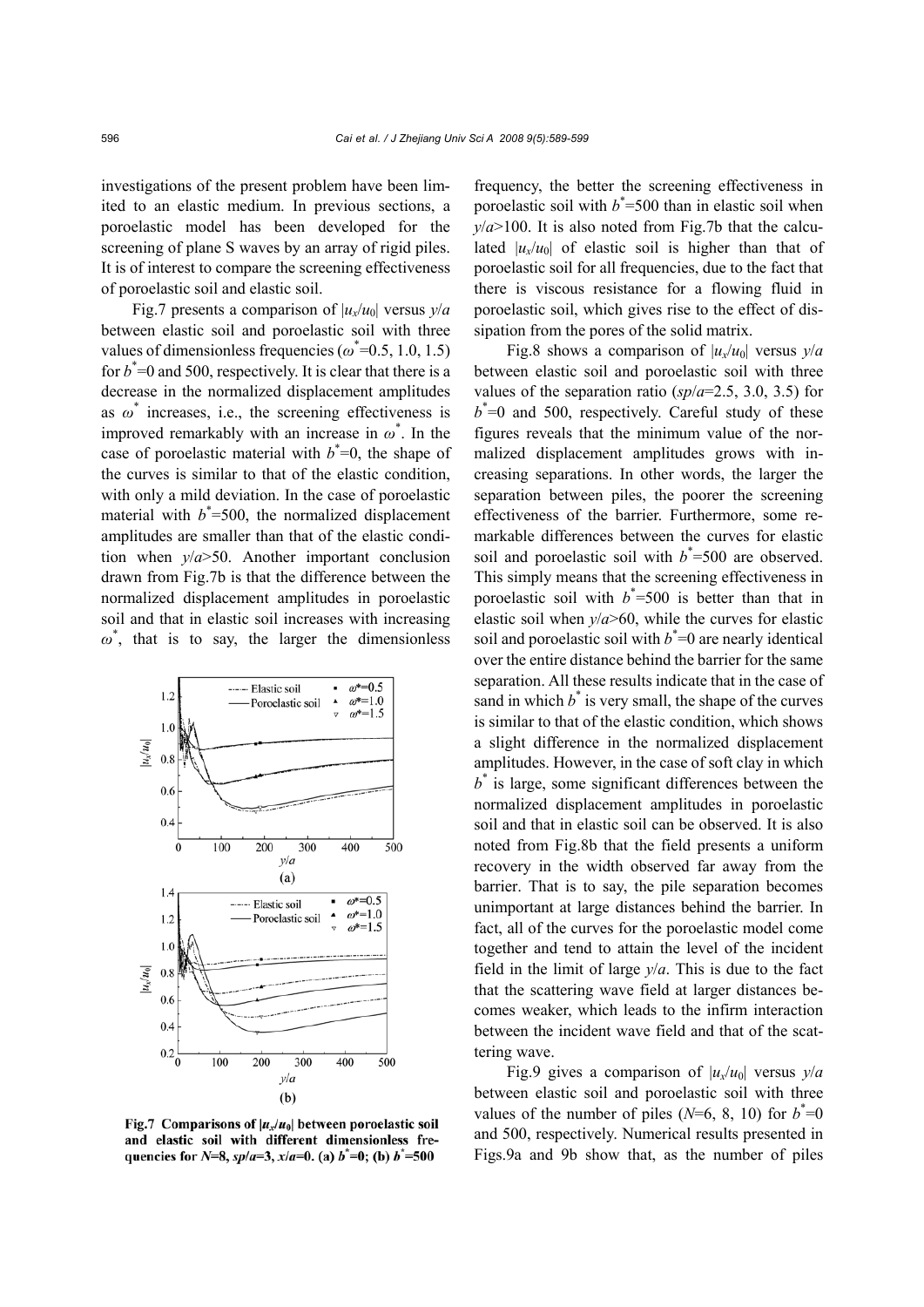investigations of the present problem have been limited to an elastic medium. In previous sections, a poroelastic model has been developed for the screening of plane S waves by an array of rigid piles. It is of interest to compare the screening effectiveness of poroelastic soil and elastic soil.

Fig.7 presents a comparison of  $|u_x/u_0|$  versus  $y/a$ between elastic soil and poroelastic soil with three values of dimensionless frequencies ( $\omega^*$ =0.5, 1.0, 1.5) for  $b^*$ =0 and 500, respectively. It is clear that there is a decrease in the normalized displacement amplitudes as *ω*\* increases, i.e., the screening effectiveness is improved remarkably with an increase in *ω*\* . In the case of poroelastic material with  $b^* = 0$ , the shape of the curves is similar to that of the elastic condition, with only a mild deviation. In the case of poroelastic material with  $b^*$ =500, the normalized displacement amplitudes are smaller than that of the elastic condition when *y*/*a*>50. Another important conclusion drawn from Fig.7b is that the difference between the normalized displacement amplitudes in poroelastic soil and that in elastic soil increases with increasing  $\omega^*$ , that is to say, the larger the dimensionless



Fig.7 Comparisons of  $|u_x/u_0|$  between poroelastic soil and elastic soil with different dimensionless frequencies for  $N=8$ ,  $sp/a=3$ ,  $x/a=0$ . (a)  $b^* = 0$ ; (b)  $b^* = 500$ 

frequency, the better the screening effectiveness in poroelastic soil with  $b^*$ =500 than in elastic soil when  $y/a$  > 100. It is also noted from Fig.7b that the calculated  $|u_x/u_0|$  of elastic soil is higher than that of poroelastic soil for all frequencies, due to the fact that there is viscous resistance for a flowing fluid in poroelastic soil, which gives rise to the effect of dissipation from the pores of the solid matrix.

Fig.8 shows a comparison of  $|u_x/u_0|$  versus  $v/a$ between elastic soil and poroelastic soil with three values of the separation ratio ( $sp/a=2.5$ , 3.0, 3.5) for  $b^*$ =0 and 500, respectively. Careful study of these figures reveals that the minimum value of the normalized displacement amplitudes grows with increasing separations. In other words, the larger the separation between piles, the poorer the screening effectiveness of the barrier. Furthermore, some remarkable differences between the curves for elastic soil and poroelastic soil with  $b^*$ =500 are observed. This simply means that the screening effectiveness in poroelastic soil with  $b^*$ =500 is better than that in elastic soil when *y*/*a*>60, while the curves for elastic soil and poroelastic soil with  $b^* = 0$  are nearly identical over the entire distance behind the barrier for the same separation. All these results indicate that in the case of sand in which  $b^*$  is very small, the shape of the curves is similar to that of the elastic condition, which shows a slight difference in the normalized displacement amplitudes. However, in the case of soft clay in which  $b^*$  is large, some significant differences between the normalized displacement amplitudes in poroelastic soil and that in elastic soil can be observed. It is also noted from Fig.8b that the field presents a uniform recovery in the width observed far away from the barrier. That is to say, the pile separation becomes unimportant at large distances behind the barrier. In fact, all of the curves for the poroelastic model come together and tend to attain the level of the incident field in the limit of large  $y/a$ . This is due to the fact that the scattering wave field at larger distances becomes weaker, which leads to the infirm interaction between the incident wave field and that of the scattering wave.

Fig.9 gives a comparison of  $|u_x/u_0|$  versus  $y/a$ between elastic soil and poroelastic soil with three values of the number of piles  $(N=6, 8, 10)$  for  $b^* = 0$ and 500, respectively. Numerical results presented in Figs.9a and 9b show that, as the number of piles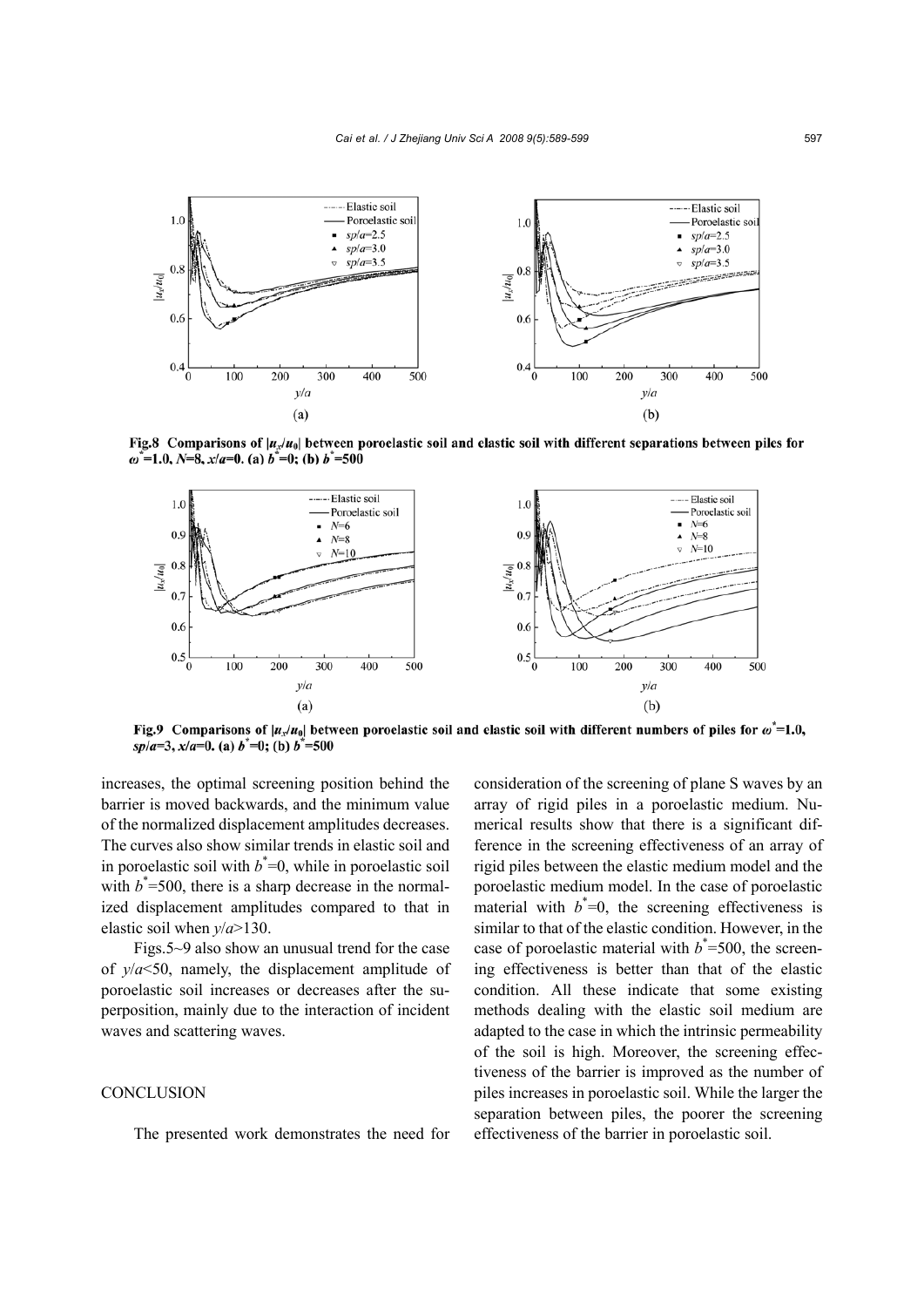

Fig.8 Comparisons of  $|u_x/u_0|$  between poroelastic soil and elastic soil with different separations between piles for  $\omega^*$ =1.0, N=8, x/a=0. (a)  $b^*$ =0; (b)  $b^*$ =500



Fig.9 Comparisons of  $|u_x/u_0|$  between poroelastic soil and elastic soil with different numbers of piles for  $\omega^*$ =1.0, sp/a=3, x/a=0. (a)  $b^*$ =0; (b)  $b^*$ =500

increases, the optimal screening position behind the barrier is moved backwards, and the minimum value of the normalized displacement amplitudes decreases. The curves also show similar trends in elastic soil and in poroelastic soil with  $b^* = 0$ , while in poroelastic soil with  $b^*$ =500, there is a sharp decrease in the normalized displacement amplitudes compared to that in elastic soil when *y*/*a*>130.

Figs.5~9 also show an unusual trend for the case of *y*/*a*<50, namely, the displacement amplitude of poroelastic soil increases or decreases after the superposition, mainly due to the interaction of incident waves and scattering waves.

#### **CONCLUSION**

The presented work demonstrates the need for

consideration of the screening of plane S waves by an array of rigid piles in a poroelastic medium. Numerical results show that there is a significant difference in the screening effectiveness of an array of rigid piles between the elastic medium model and the poroelastic medium model. In the case of poroelastic material with  $b^*$ =0, the screening effectiveness is similar to that of the elastic condition. However, in the case of poroelastic material with  $b^*$ =500, the screening effectiveness is better than that of the elastic condition. All these indicate that some existing methods dealing with the elastic soil medium are adapted to the case in which the intrinsic permeability of the soil is high. Moreover, the screening effectiveness of the barrier is improved as the number of piles increases in poroelastic soil. While the larger the separation between piles, the poorer the screening effectiveness of the barrier in poroelastic soil.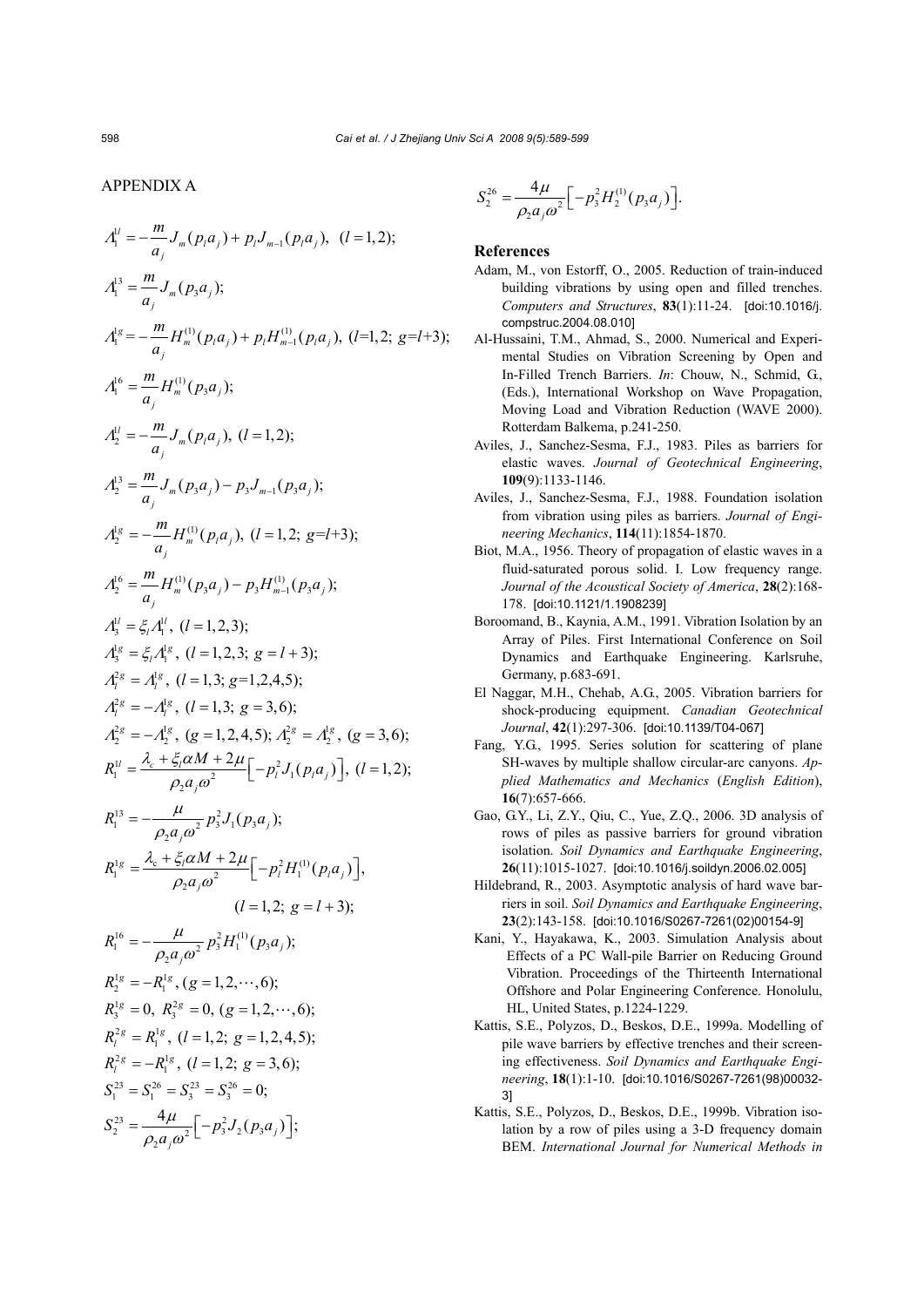APPENDIX A

$$
A_1^{u} = -\frac{m}{a_j} J_m(p_j a_j) + p_j J_{m-1}(p_j a_j), (l = 1, 2);
$$
  
\n
$$
A_1^{13} = \frac{m}{a_j} J_m(p_3 a_j);
$$
  
\n
$$
A_1^{18} = -\frac{m}{a_j} H_m^{(1)}(p_j a_j) + p_j H_{m-1}^{(1)}(p_j a_j), (l = 1, 2; g = l + 3);
$$
  
\n
$$
A_1^{16} = \frac{m}{a_j} H_m^{(1)}(p_j a_j);
$$
  
\n
$$
A_2^{11} = -\frac{m}{a_j} J_m(p_j a_j), (l = 1, 2);
$$
  
\n
$$
A_2^{12} = \frac{m}{a_j} J_m(p_j a_j) - p_3 J_{m-1}(p_3 a_j);
$$
  
\n
$$
A_2^{16} = \frac{m}{a_j} H_m^{(1)}(p_j a_j), (l = 1, 2; g = l + 3);
$$
  
\n
$$
A_2^{16} = \frac{m}{a_j} H_m^{(1)}(p_j a_j) - p_3 H_{m-1}^{(1)}(p_3 a_j);
$$
  
\n
$$
A_3^{11} = \xi_j A_1^{10}, (l = 1, 2, 3);
$$
  
\n
$$
A_3^{12} = \xi_j A_1^{12}, (l = 1, 2, 3; g = l + 3);
$$
  
\n
$$
A_3^{28} = -A_1^{18}, (l = 1, 3; g = 3, 6);
$$
  
\n
$$
A_2^{28} = -A_2^{18}, (l = 1, 3; g = 3, 6);
$$
  
\n
$$
A_1^{28} = -A_1^{18}, (l = 1, 3; g = 3, 6);
$$
  
\n
$$
A_1^{28} = -A_1^{18}, (l = 1, 3; g = 3, 6);
$$
  
\n
$$
A_1^{28} = -A_1^{18}, (l = 1, 2, g = 3, 6);
$$
  
\n
$$
R_1^{10} = \frac{\lambda_c + \xi_i \alpha M
$$

$$
S_2^{26} = \frac{4\mu}{\rho_2 a_j \omega^2} \left[ -p_3^2 H_2^{(1)}(p_3 a_j) \right].
$$

#### **References**

- Adam, M., von Estorff, O., 2005. Reduction of train-induced building vibrations by using open and filled trenches. *Computers and Structures*, **83**(1):11-24. [doi:10.1016/j. compstruc.2004.08.010]
- Al-Hussaini, T.M., Ahmad, S., 2000. Numerical and Experimental Studies on Vibration Screening by Open and In-Filled Trench Barriers. *In*: Chouw, N., Schmid, G., (Eds.), International Workshop on Wave Propagation, Moving Load and Vibration Reduction (WAVE 2000). Rotterdam Balkema, p.241-250.
- Aviles, J., Sanchez-Sesma, F.J., 1983. Piles as barriers for elastic waves. *Journal of Geotechnical Engineering*, **109**(9):1133-1146.
- Aviles, J., Sanchez-Sesma, F.J., 1988. Foundation isolation from vibration using piles as barriers. *Journal of Engineering Mechanics*, **114**(11):1854-1870.
- Biot, M.A., 1956. Theory of propagation of elastic waves in a fluid-saturated porous solid. I. Low frequency range. *Journal of the Acoustical Society of America*, **28**(2):168- 178. [doi:10.1121/1.1908239]
- Boroomand, B., Kaynia, A.M., 1991. Vibration Isolation by an Array of Piles. First International Conference on Soil Dynamics and Earthquake Engineering. Karlsruhe, Germany, p.683-691.
- El Naggar, M.H., Chehab, A.G., 2005. Vibration barriers for shock-producing equipment. *Canadian Geotechnical Journal*, **42**(1):297-306. [doi:10.1139/T04-067]
- Fang, Y.G., 1995. Series solution for scattering of plane SH-waves by multiple shallow circular-arc canyons. *Applied Mathematics and Mechanics* (*English Edition*), **16**(7):657-666.
- Gao, G.Y., Li, Z.Y., Qiu, C., Yue, Z.Q., 2006. 3D analysis of rows of piles as passive barriers for ground vibration isolation. *Soil Dynamics and Earthquake Engineering*, **26**(11):1015-1027. [doi:10.1016/j.soildyn.2006.02.005]
- Hildebrand, R., 2003. Asymptotic analysis of hard wave barriers in soil. *Soil Dynamics and Earthquake Engineering*, **23**(2):143-158. [doi:10.1016/S0267-7261(02)00154-9]
- Kani, Y., Hayakawa, K., 2003. Simulation Analysis about Effects of a PC Wall-pile Barrier on Reducing Ground Vibration. Proceedings of the Thirteenth International Offshore and Polar Engineering Conference. Honolulu, HL, United States, p.1224-1229.
- Kattis, S.E., Polyzos, D., Beskos, D.E., 1999a. Modelling of pile wave barriers by effective trenches and their screening effectiveness. *Soil Dynamics and Earthquake Engineering*, **18**(1):1-10. [doi:10.1016/S0267-7261(98)00032- 3]
- Kattis, S.E., Polyzos, D., Beskos, D.E., 1999b. Vibration isolation by a row of piles using a 3-D frequency domain BEM. *International Journal for Numerical Methods in*